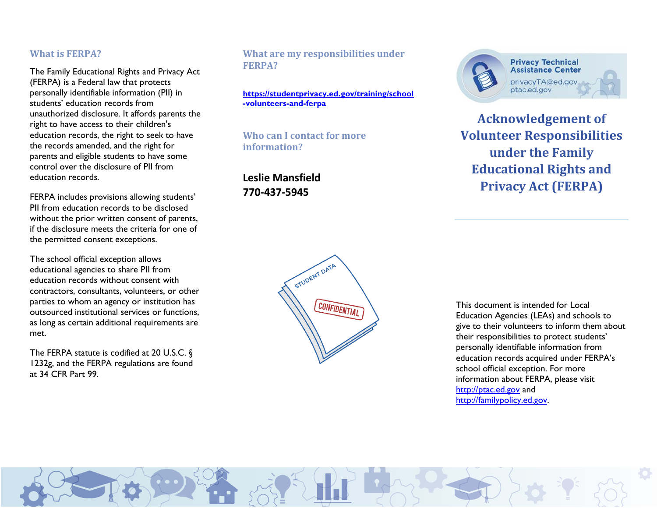## **What is FERPA?**

The Family Educational Rights and Privacy Act (FERPA) is a Federal law that protects personally identifiable information (PII) in students' education records from unauthorized disclosure. It affords parents the right to have access to their children's education records, the right to seek to have the records amended, and the right for parents and eligible students to have some control over the disclosure of PII from education records.

FERPA includes provisions allowing students' PII from education records to be disclosed without the prior written consent of parents, if the disclosure meets the criteria for one of the permitted consent exceptions.

The school official exception allows educational agencies to share PII from education records without consent with contractors, consultants, volunteers, or other parties to whom an agency or institution has outsourced institutional services or functions, as long as certain additional requirements are met.

The FERPA statute is codified at 20 U.S.C. § 1232g, and the FERPA regulations are found at 34 CFR Part 99.

## **What are my responsibilities under FERPA?**

**[https://studentprivacy.ed.gov/training/school](https://studentprivacy.ed.gov/training/school-volunteers-and-ferpa) [-volunteers-and-ferpa](https://studentprivacy.ed.gov/training/school-volunteers-and-ferpa)**

**Who can I contact for more information?** 

**Leslie Mansfield 770-437-5945**



**Privacy Technical Assistance Center** privacyTA@ed.gov ptac.ed.gov

**Acknowledgement of Volunteer Responsibilities under the Family Educational Rights and Privacy Act (FERPA)**



This document is intended for Local Education Agencies (LEAs) and schools to give to their volunteers to inform them about their responsibilities to protect students' personally identifiable information from education records acquired under FERPA's school official exception. For more information about FERPA, please visit [http://ptac.ed.gov](http://ptac.ed.gov/) and [http://familypolicy.ed.gov.](http://familypolicy.ed.gov/)